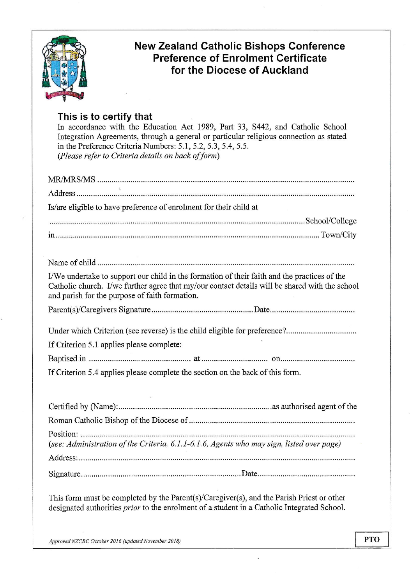

# New Zealand Catholic Bishops Conference Preference of Enrolment Certificate for the Diocese of Auckland

## This is to certify that

In accordance with the Education Act 1989, Part 33, 5442, and Catholic School Integration Agreements, through a general or particular religious connection as stated in the Preference Criteria Numbers: 5.1, 5.2, 5.3, 5.4, 5.5. (Please refer to Criteria details on back of form)

| Is/are eligible to have preference of enrolment for their child at                                                                                                                                                                               |
|--------------------------------------------------------------------------------------------------------------------------------------------------------------------------------------------------------------------------------------------------|
|                                                                                                                                                                                                                                                  |
|                                                                                                                                                                                                                                                  |
|                                                                                                                                                                                                                                                  |
|                                                                                                                                                                                                                                                  |
| I/We undertake to support our child in the formation of their faith and the practices of the<br>Catholic church. I/we further agree that my/our contact details will be shared with the school<br>and parish for the purpose of faith formation. |
|                                                                                                                                                                                                                                                  |
|                                                                                                                                                                                                                                                  |
| If Criterion 5.1 applies please complete:                                                                                                                                                                                                        |
|                                                                                                                                                                                                                                                  |
| If Criterion 5.4 applies please complete the section on the back of this form.                                                                                                                                                                   |
|                                                                                                                                                                                                                                                  |
|                                                                                                                                                                                                                                                  |
|                                                                                                                                                                                                                                                  |
| (see: Administration of the Criteria, 6.1.1-6.1.6, Agents who may sign, listed over page)                                                                                                                                                        |
|                                                                                                                                                                                                                                                  |
|                                                                                                                                                                                                                                                  |

This form must be completed by the Parent(s)/Caregiver(s), and the Parish Priest or other designated authorities *prior* to the enrolment of a student in a Catholic Integrated School.